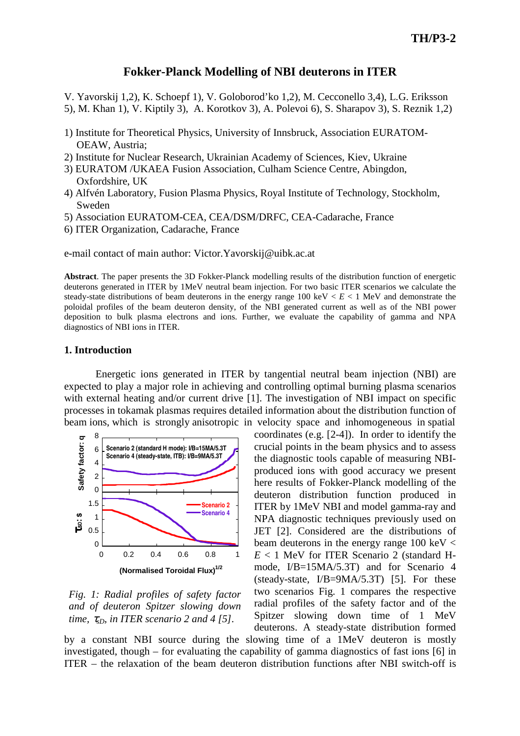## **Fokker-Planck Modelling of NBI deuterons in ITER**

V. Yavorskij 1,2), K. Schoepf 1), V. Goloborod'ko 1,2), M. Cecconello 3,4), L.G. Eriksson 5), M. Khan 1), V. Kiptily 3), A. Korotkov 3), A. Polevoi 6), S. Sharapov 3), S. Reznik 1,2)

- 1) Institute for Theoretical Physics, University of Innsbruck, Association EURATOM-OEAW, Austria;
- 2) Institute for Nuclear Research, Ukrainian Academy of Sciences, Kiev, Ukraine
- 3) EURATOM /UKAEA Fusion Association, Culham Science Centre, Abingdon, Oxfordshire, UK
- 4) Alfvén Laboratory, Fusion Plasma Physics, Royal Institute of Technology, Stockholm, Sweden
- 5) Association EURATOM-CEA, CEA/DSM/DRFC, CEA-Cadarache, France
- 6) ITER Organization, Cadarache, France

e-mail contact of main author: Victor.Yavorskij@uibk.ac.at

**Abstract**. The paper presents the 3D Fokker-Planck modelling results of the distribution function of energetic deuterons generated in ITER by 1MeV neutral beam injection. For two basic ITER scenarios we calculate the steady-state distributions of beam deuterons in the energy range  $100 \text{ keV} < E < 1 \text{ MeV}$  and demonstrate the poloidal profiles of the beam deuteron density, of the NBI generated current as well as of the NBI power deposition to bulk plasma electrons and ions. Further, we evaluate the capability of gamma and NPA diagnostics of NBI ions in ITER.

#### **1. Introduction**

Energetic ions generated in ITER by tangential neutral beam injection (NBI) are expected to play a major role in achieving and controlling optimal burning plasma scenarios with external heating and/or current drive [1]. The investigation of NBI impact on specific processes in tokamak plasmas requires detailed information about the distribution function of beam ions, which is strongly anisotropic in velocity space and inhomogeneous in spatial



*Fig. 1: Radial profiles of safety factor and of deuteron Spitzer slowing down time,*  $\tau_{sD}$ *, in ITER scenario 2 and 4 [5].* 

coordinates (e.g. [2-4]). In order to identify the crucial points in the beam physics and to assess the diagnostic tools capable of measuring NBIproduced ions with good accuracy we present here results of Fokker-Planck modelling of the deuteron distribution function produced in ITER by 1MeV NBI and model gamma-ray and NPA diagnostic techniques previously used on JET [2]. Considered are the distributions of beam deuterons in the energy range  $100 \text{ keV} <$ *E* < 1 MeV for ITER Scenario 2 (standard Hmode, I/B=15MA/5.3T) and for Scenario 4 (steady-state,  $I/B = 9MA/5.3T$ ) [5]. For these two scenarios Fig. 1 compares the respective radial profiles of the safety factor and of the Spitzer slowing down time of 1 MeV deuterons. A steady-state distribution formed

by a constant NBI source during the slowing time of a 1MeV deuteron is mostly investigated, though – for evaluating the capability of gamma diagnostics of fast ions [6] in ITER – the relaxation of the beam deuteron distribution functions after NBI switch-off is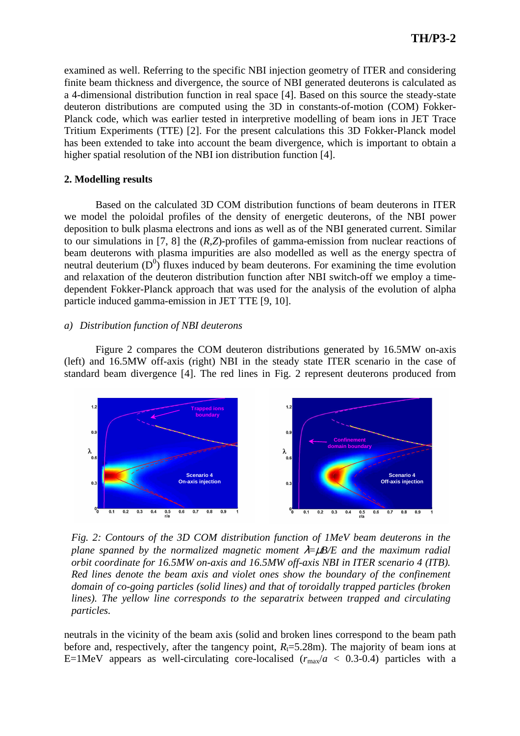examined as well. Referring to the specific NBI injection geometry of ITER and considering finite beam thickness and divergence, the source of NBI generated deuterons is calculated as a 4-dimensional distribution function in real space [4]. Based on this source the steady-state deuteron distributions are computed using the 3D in constants-of-motion (COM) Fokker-Planck code, which was earlier tested in interpretive modelling of beam ions in JET Trace Tritium Experiments (TTE) [2]. For the present calculations this 3D Fokker-Planck model has been extended to take into account the beam divergence, which is important to obtain a higher spatial resolution of the NBI ion distribution function [4].

## **2. Modelling results**

Based on the calculated 3D COM distribution functions of beam deuterons in ITER we model the poloidal profiles of the density of energetic deuterons, of the NBI power deposition to bulk plasma electrons and ions as well as of the NBI generated current. Similar to our simulations in [7, 8] the (*R*,*Z*)-profiles of gamma-emission from nuclear reactions of beam deuterons with plasma impurities are also modelled as well as the energy spectra of neutral deuterium  $(D^0)$  fluxes induced by beam deuterons. For examining the time evolution and relaxation of the deuteron distribution function after NBI switch-off we employ a timedependent Fokker-Planck approach that was used for the analysis of the evolution of alpha particle induced gamma-emission in JET TTE [9, 10].

## *a) Distribution function of NBI deuterons*

Figure 2 compares the COM deuteron distributions generated by 16.5MW on-axis (left) and 16.5MW off-axis (right) NBI in the steady state ITER scenario in the case of standard beam divergence [4]. The red lines in Fig. 2 represent deuterons produced from



*Fig. 2: Contours of the 3D COM distribution function of 1MeV beam deuterons in the plane spanned by the normalized magnetic moment* λ=µ*B/E and the maximum radial orbit coordinate for 16.5MW on-axis and 16.5MW off-axis NBI in ITER scenario 4 (ITB). Red lines denote the beam axis and violet ones show the boundary of the confinement domain of co-going particles (solid lines) and that of toroidally trapped particles (broken lines). The yellow line corresponds to the separatrix between trapped and circulating particles.* 

neutrals in the vicinity of the beam axis (solid and broken lines correspond to the beam path before and, respectively, after the tangency point,  $R<sub>t</sub>=5.28m$ ). The majority of beam ions at E=1MeV appears as well-circulating core-localised  $(r_{\text{max}}/a < 0.3{\text -}0.4)$  particles with a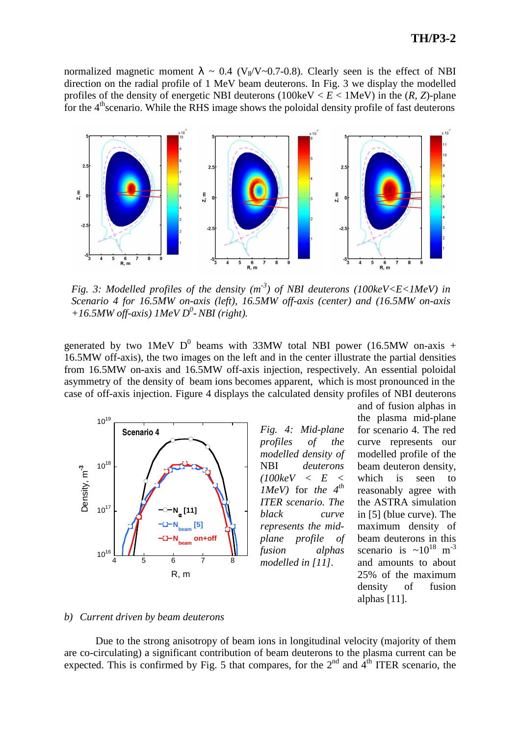normalized magnetic moment  $\lambda \sim 0.4$  (V<sub>II</sub>/V~0.7-0.8). Clearly seen is the effect of NBI direction on the radial profile of 1 MeV beam deuterons. In Fig. 3 we display the modelled profiles of the density of energetic NBI deuterons ( $100 \text{keV} < E < 1 \text{MeV}$ ) in the (*R*, *Z*)-plane for the  $4<sup>th</sup>$  scenario. While the RHS image shows the poloidal density profile of fast deuterons



*Fig. 3: Modelled profiles of the density*  $(m<sup>-3</sup>)$  *of NBI deuterons (100keV<E<1MeV) in Scenario 4 for 16.5MW on-axis (left), 16.5MW off-axis (center) and (16.5MW on-axis +16.5MW off-axis) 1MeV D<sup>0</sup> - NBI (right).* 

generated by two 1MeV  $D^0$  beams with 33MW total NBI power (16.5MW on-axis + 16.5MW off-axis), the two images on the left and in the center illustrate the partial densities from 16.5MW on-axis and 16.5MW off-axis injection, respectively. An essential poloidal asymmetry of the density of beam ions becomes apparent, which is most pronounced in the case of off-axis injection. Figure 4 displays the calculated density profiles of NBI deuterons



*Fig. 4: Mid-plane profiles of the modelled density of*  NBI *deuterons (100keV < E < 1MeV)* for *the 4th ITER scenario. The black curve represents the midplane profile of fusion alphas modelled in [11].* 

and of fusion alphas in the plasma mid-plane for scenario 4. The red curve represents our modelled profile of the beam deuteron density, which is seen to reasonably agree with the ASTRA simulation in [5] (blue curve). The maximum density of beam deuterons in this scenario is  $\sim 10^{18}$  m<sup>-3</sup> and amounts to about 25% of the maximum density of fusion alphas [11].

#### *b) Current driven by beam deuterons*

Due to the strong anisotropy of beam ions in longitudinal velocity (majority of them are co-circulating) a significant contribution of beam deuterons to the plasma current can be expected. This is confirmed by Fig. 5 that compares, for the  $2<sup>nd</sup>$  and  $4<sup>th</sup>$  ITER scenario, the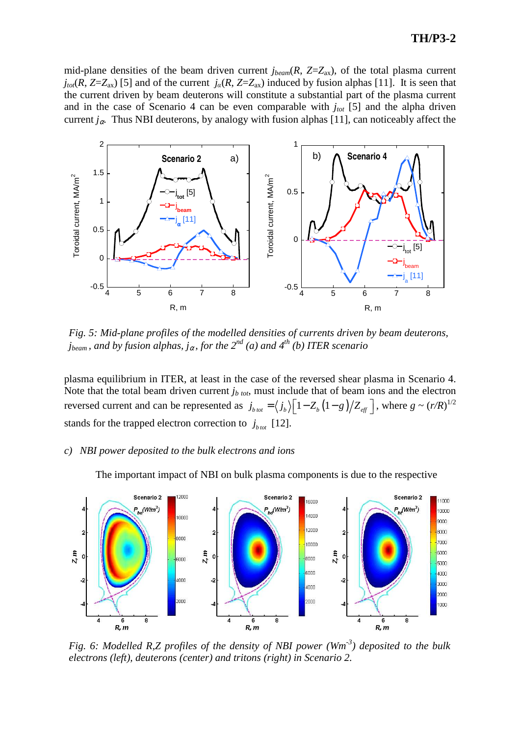# **TH/P3-2**

mid-plane densities of the beam driven current  $j_{beam}(R, Z=Z_{ax})$ , of the total plasma current  $j_{tot}(R, Z = Z_{ax})$  [5] and of the current  $j_a(R, Z = Z_{ax})$  induced by fusion alphas [11]. It is seen that the current driven by beam deuterons will constitute a substantial part of the plasma current and in the case of Scenario 4 can be even comparable with *jtot* [5] and the alpha driven current  $j_{\alpha}$ . Thus NBI deuterons, by analogy with fusion alphas [11], can noticeably affect the



*Fig. 5: Mid-plane profiles of the modelled densities of currents driven by beam deuterons, jbeam , and by fusion alphas, j*<sup>α</sup> *, for the 2nd (a) and 4th (b) ITER scenario* 

plasma equilibrium in ITER, at least in the case of the reversed shear plasma in Scenario 4. Note that the total beam driven current *jb tot*, must include that of beam ions and the electron reversed current and can be represented as  $j_{b\text{ tot}} = \langle j_b \rangle \Big[ 1 - Z_b (1 - g) / Z_{\text{eff}} \Big]$ , where  $g \sim (r/R)^{1/2}$ stands for the trapped electron correction to  $j_{b\text{tot}}$  [12].

#### *c) NBI power deposited to the bulk electrons and ions*

The important impact of NBI on bulk plasma components is due to the respective



*Fig. 6: Modelled R,Z profiles of the density of NBI power (Wm-3) deposited to the bulk electrons (left), deuterons (center) and tritons (right) in Scenario 2.*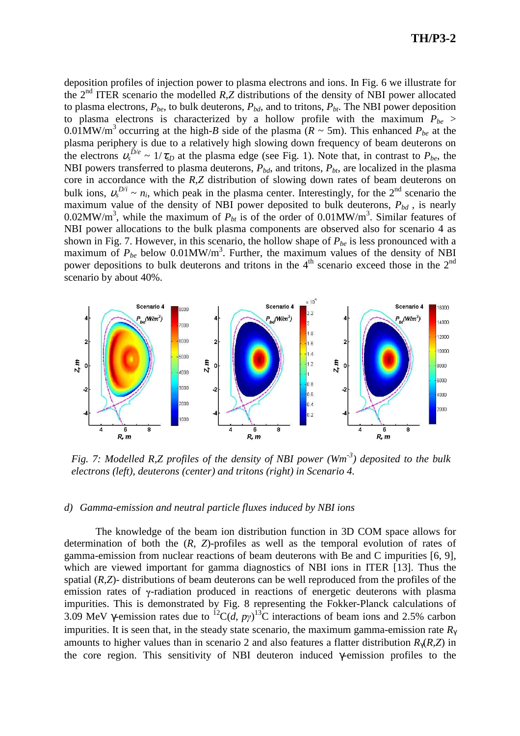deposition profiles of injection power to plasma electrons and ions. In Fig. 6 we illustrate for the 2nd ITER scenario the modelled *R*,*Z* distributions of the density of NBI power allocated to plasma electrons,  $P_{be}$ , to bulk deuterons,  $P_{bd}$ , and to tritons,  $P_{bt}$ . The NBI power deposition to plasma electrons is characterized by a hollow profile with the maximum  $P_{be}$ 0.01MW/m<sup>3</sup> occurring at the high-*B* side of the plasma ( $R \sim 5$ m). This enhanced  $P_{be}$  at the plasma periphery is due to a relatively high slowing down frequency of beam deuterons on the electrons  $v_s^{D/e} \sim 1/\tau_{sD}$  at the plasma edge (see Fig. 1). Note that, in contrast to  $P_{be}$ , the NBI powers transferred to plasma deuterons,  $P_{bd}$ , and tritons,  $P_{bt}$ , are localized in the plasma core in accordance with the *R*,*Z* distribution of slowing down rates of beam deuterons on bulk ions,  $v_s^{D/i} \sim n_i$ , which peak in the plasma center. Interestingly, for the 2<sup>nd</sup> scenario the maximum value of the density of NBI power deposited to bulk deuterons,  $P_{bd}$ , is nearly 0.02MW/m<sup>3</sup>, while the maximum of  $P_{bt}$  is of the order of 0.01MW/m<sup>3</sup>. Similar features of NBI power allocations to the bulk plasma components are observed also for scenario 4 as shown in Fig. 7. However, in this scenario, the hollow shape of *Pbe* is less pronounced with a maximum of  $P_{be}$  below 0.01MW/m<sup>3</sup>. Further, the maximum values of the density of NBI power depositions to bulk deuterons and tritons in the  $4<sup>th</sup>$  scenario exceed those in the  $2<sup>nd</sup>$ scenario by about 40%.



*Fig. 7: Modelled R,Z profiles of the density of NBI power (Wm-3) deposited to the bulk electrons (left), deuterons (center) and tritons (right) in Scenario 4.*

#### *d) Gamma-emission and neutral particle fluxes induced by NBI ions*

The knowledge of the beam ion distribution function in 3D COM space allows for determination of both the (*R*, *Z*)-profiles as well as the temporal evolution of rates of gamma-emission from nuclear reactions of beam deuterons with Be and C impurities [6, 9], which are viewed important for gamma diagnostics of NBI ions in ITER [13]. Thus the spatial (*R,Z*)*-* distributions of beam deuterons can be well reproduced from the profiles of the emission rates of  $\gamma$ -radiation produced in reactions of energetic deuterons with plasma impurities. This is demonstrated by Fig. 8 representing the Fokker-Planck calculations of 3.09 MeV  $\gamma$ -emission rates due to <sup>12</sup>C(*d*,  $p\gamma$ <sup>13</sup>C interactions of beam ions and 2.5% carbon impurities. It is seen that, in the steady state scenario, the maximum gamma-emission rate  $R_y$ amounts to higher values than in scenario 2 and also features a flatter distribution *R*γ(*R,Z*) in the core region. This sensitivity of NBI deuteron induced γ-emission profiles to the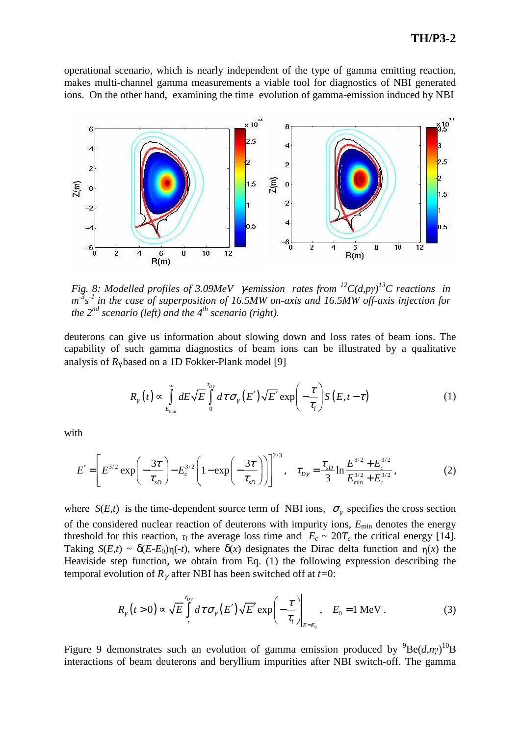## **TH/P3-2**

operational scenario, which is nearly independent of the type of gamma emitting reaction, makes multi-channel gamma measurements a viable tool for diagnostics of NBI generated ions. On the other hand, examining the time evolution of gamma-emission induced by NBI



*Fig. 8: Modelled profiles of 3.09MeV*  $\gamma$ *-emission rates from <sup>12</sup>C(d,p* $\gamma$ *)<sup>13</sup>C reactions in* m<sup>3</sup>s<sup>-1</sup> in the case of superposition of 16.5MW on-axis and 16.5MW off-axis injection for *the 2nd scenario (left) and the 4th scenario (right).*

deuterons can give us information about slowing down and loss rates of beam ions. The capability of such gamma diagnostics of beam ions can be illustrated by a qualitative analysis of  $R_\gamma$  based on a 1D Fokker-Plank model [9]

$$
R_{\gamma}(t) \propto \int_{E_{\min}}^{\infty} dE \sqrt{E} \int_{0}^{\tau_{D\gamma}} d\tau \sigma_{\gamma}(E') \sqrt{E'} \exp\left(-\frac{\tau}{\tau_{l}}\right) S(E, t-\tau) \tag{1}
$$

with

$$
E' = \left[E^{3/2} \exp\left(-\frac{3\tau}{\tau_{sD}}\right) - E_c^{3/2} \left(1 - \exp\left(-\frac{3\tau}{\tau_{sD}}\right)\right)\right]^{2/3}, \quad \tau_{D\gamma} = \frac{\tau_{sD}}{3} \ln \frac{E^{3/2} + E_c^{3/2}}{E_{\min}^{3/2} + E_c^{3/2}},\tag{2}
$$

where  $S(E,t)$  is the time-dependent source term of NBI ions,  $\sigma_{\gamma}$  specifies the cross section of the considered nuclear reaction of deuterons with impurity ions, *E*min denotes the energy threshold for this reaction,  $\tau_l$  the average loss time and  $E_c \sim 20T_e$  the critical energy [14]. Taking  $S(E,t) \sim \delta(E-E_0)\eta(-t)$ , where  $\delta(x)$  designates the Dirac delta function and  $\eta(x)$  the Heaviside step function, we obtain from Eq. (1) the following expression describing the temporal evolution of  $R_\gamma$  after NBI has been switched off at *t*=0:

$$
R_{\gamma}\left(t>0\right) \propto \sqrt{E} \int_{t}^{\tau_{D\gamma}} d\tau \sigma_{\gamma}\left(E'\right) \sqrt{E'} \exp\left(-\frac{\tau}{\tau_{l}}\right)\Big|_{E=E_{0}}, \quad E_{0} = 1 \text{ MeV}. \tag{3}
$$

Figure 9 demonstrates such an evolution of gamma emission produced by  ${}^{9}Be(d, n\gamma) {}^{10}B$ interactions of beam deuterons and beryllium impurities after NBI switch-off. The gamma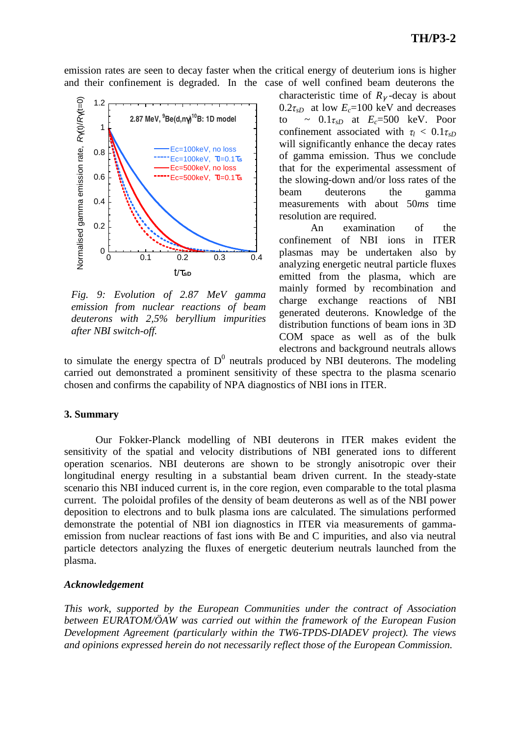emission rates are seen to decay faster when the critical energy of deuterium ions is higher and their confinement is degraded. In the case of well confined beam deuterons the



*Fig. 9: Evolution of 2.87 MeV gamma emission from nuclear reactions of beam deuterons with 2,5% beryllium impurities after NBI switch-off.* 

characteristic time of  $R<sub>γ</sub>$ -decay is about  $0.2\tau_{sD}$  at low  $E_c$ =100 keV and decreases to  $\sim 0.1\tau_{sD}$  at  $E_c = 500$  keV. Poor confinement associated with  $\tau_l < 0.1 \tau_{sD}$ will significantly enhance the decay rates of gamma emission. Thus we conclude that for the experimental assessment of the slowing-down and/or loss rates of the beam deuterons the gamma measurements with about 50*ms* time resolution are required.

An examination of the confinement of NBI ions in ITER plasmas may be undertaken also by analyzing energetic neutral particle fluxes emitted from the plasma, which are mainly formed by recombination and charge exchange reactions of NBI generated deuterons. Knowledge of the distribution functions of beam ions in 3D COM space as well as of the bulk electrons and background neutrals allows

to simulate the energy spectra of  $D^0$  neutrals produced by NBI deuterons. The modeling carried out demonstrated a prominent sensitivity of these spectra to the plasma scenario chosen and confirms the capability of NPA diagnostics of NBI ions in ITER.

## **3. Summary**

Our Fokker-Planck modelling of NBI deuterons in ITER makes evident the sensitivity of the spatial and velocity distributions of NBI generated ions to different operation scenarios. NBI deuterons are shown to be strongly anisotropic over their longitudinal energy resulting in a substantial beam driven current. In the steady-state scenario this NBI induced current is, in the core region, even comparable to the total plasma current. The poloidal profiles of the density of beam deuterons as well as of the NBI power deposition to electrons and to bulk plasma ions are calculated. The simulations performed demonstrate the potential of NBI ion diagnostics in ITER via measurements of gammaemission from nuclear reactions of fast ions with Be and C impurities, and also via neutral particle detectors analyzing the fluxes of energetic deuterium neutrals launched from the plasma.

## *Acknowledgement*

*This work, supported by the European Communities under the contract of Association between EURATOM/ÖAW was carried out within the framework of the European Fusion Development Agreement (particularly within the TW6-TPDS-DIADEV project). The views and opinions expressed herein do not necessarily reflect those of the European Commission.*